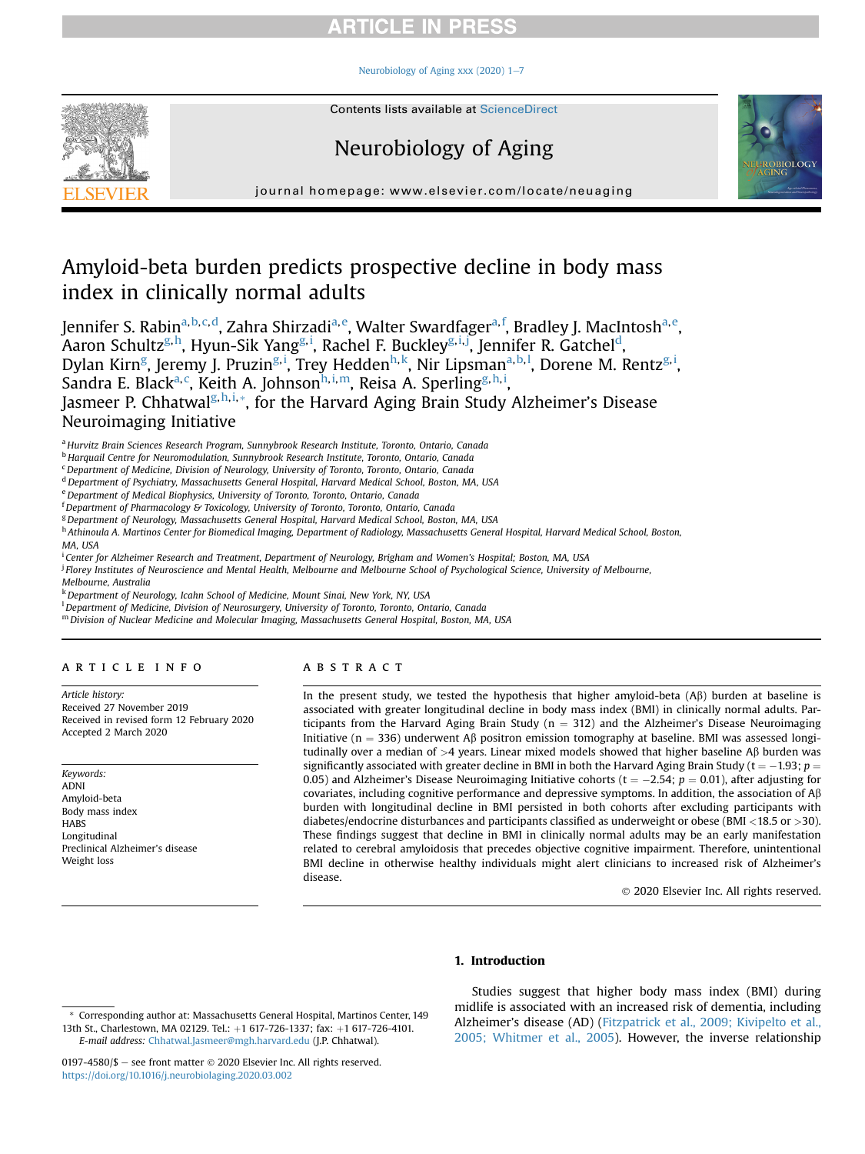#### Neurobiology of Aging xxx (2020)  $1-7$  $1-7$



Contents lists available at ScienceDirect

# Neurobiology of Aging



journal homepage: [www.elsevier.com/locate/neuaging](http://www.elsevier.com/locate/neuaging)

# Amyloid-beta burden predicts prospective decline in body mass index in clinically normal adults

Jennifer S. Rabin<sup>[a,](#page-0-0)[b](#page-0-1),[c,](#page-0-2)[d](#page-0-3)</sup>, Zahra Shirzadi<sup>a,[e](#page-0-4)</sup>, Walter Sward[f](#page-0-5)ager<sup>a,f</sup>, Bradley J. MacIntosh<sup>a,e</sup>, Aaron Schultz<sup>[g](#page-0-6),[h](#page-0-7)</sup>, Hyun-S[i](#page-0-8)k Yang<sup>g,i</sup>, Rachel F. Buckley<sup>g,i,[j](#page-0-9)</sup>, Jennifer R. Gatchel<sup>d</sup>, Dylan Kirn<sup>[g](#page-0-6)</sup>, Jeremy J. Pruz[i](#page-0-8)n<sup>g, i</sup>, Trey Hedden<sup>[h,](#page-0-7) [k](#page-0-10)</sup>, Nir Lipsman<sup>[a,](#page-0-0) [b](#page-0-1), [l](#page-0-11)</sup>, Dorene M. Rentz<sup>[g,](#page-0-6) i</sup>, Sandra E. Black<sup>[a,](#page-0-0)[c](#page-0-2)</sup>, Keit[h](#page-0-7) A. Johnson<sup>h,[i](#page-0-8),[m](#page-0-12)</sup>, Reisa A. Sperlin[g](#page-0-6)<sup>g,h,i</sup>, Jasmeer P. Chhatwal<sup>[g](#page-0-6), [h,](#page-0-7) [i,](#page-0-8)[\\*](#page-0-13)</sup>, for the Harvard Aging Brain Study Alzheimer's Disease Neuroimaging Initiative

<span id="page-0-0"></span>a Hurvitz Brain Sciences Research Program, Sunnybrook Research Institute, Toronto, Ontario, Canada

<span id="page-0-1"></span><sup>b</sup> Harquail Centre for Neuromodulation, Sunnybrook Research Institute, Toronto, Ontario, Canada

<span id="page-0-2"></span><sup>c</sup> Department of Medicine, Division of Neurology, University of Toronto, Toronto, Ontario, Canada

<span id="page-0-3"></span><sup>d</sup> Department of Psychiatry, Massachusetts General Hospital, Harvard Medical School, Boston, MA, USA

<span id="page-0-4"></span>e Department of Medical Biophysics, University of Toronto, Toronto, Ontario, Canada

<span id="page-0-5"></span><sup>f</sup> Department of Pharmacology & Toxicology, University of Toronto, Toronto, Ontario, Canada

<span id="page-0-6"></span><sup>g</sup> Department of Neurology, Massachusetts General Hospital, Harvard Medical School, Boston, MA, USA

<span id="page-0-7"></span><sup>h</sup> Athinoula A. Martinos Center for Biomedical Imaging, Department of Radiology, Massachusetts General Hospital, Harvard Medical School, Boston, MA, USA

<span id="page-0-8"></span>i Center for Alzheimer Research and Treatment, Department of Neurology, Brigham and Women's Hospital; Boston, MA, USA

<span id="page-0-9"></span><sup>i</sup> Florey Institutes of Neuroscience and Mental Health, Melbourne and Melbourne School of Psychological Science, University of Melbourne,

Melbourne, Australia

<span id="page-0-10"></span>k Department of Neurology, Icahn School of Medicine, Mount Sinai, New York, NY, USA

<span id="page-0-11"></span><sup>1</sup> Department of Medicine, Division of Neurosurgery, University of Toronto, Toronto, Ontario, Canada

<span id="page-0-12"></span><sup>m</sup> Division of Nuclear Medicine and Molecular Imaging, Massachusetts General Hospital, Boston, MA, USA

#### article info

Article history: Received 27 November 2019 Received in revised form 12 February 2020 Accepted 2 March 2020

Keywords: ADNI Amyloid-beta Body mass index **HABS** Longitudinal Preclinical Alzheimer's disease Weight loss

#### **ABSTRACT**

In the present study, we tested the hypothesis that higher amyloid-beta  $(A\beta)$  burden at baseline is associated with greater longitudinal decline in body mass index (BMI) in clinically normal adults. Participants from the Harvard Aging Brain Study ( $n = 312$ ) and the Alzheimer's Disease Neuroimaging Initiative (n = 336) underwent A $\beta$  positron emission tomography at baseline. BMI was assessed longitudinally over a median of  $>4$  years. Linear mixed models showed that higher baseline A $\beta$  burden was significantly associated with greater decline in BMI in both the Harvard Aging Brain Study (t  $=$   $-1.93$ ;  $p$   $=$ 0.05) and Alzheimer's Disease Neuroimaging Initiative cohorts (t  $=-2.54$ ;  $p=0.01$ ), after adjusting for covariates, including cognitive performance and depressive symptoms. In addition, the association of  $A\beta$ burden with longitudinal decline in BMI persisted in both cohorts after excluding participants with diabetes/endocrine disturbances and participants classified as underweight or obese (BMI  $\langle 18.5 \text{ or } \rangle 30$ ). These findings suggest that decline in BMI in clinically normal adults may be an early manifestation related to cerebral amyloidosis that precedes objective cognitive impairment. Therefore, unintentional BMI decline in otherwise healthy individuals might alert clinicians to increased risk of Alzheimer's disease.

2020 Elsevier Inc. All rights reserved.

#### 1. Introduction

Studies suggest that higher body mass index (BMI) during midlife is associated with an increased risk of dementia, including Alzheimer's disease (AD) ([Fitzpatrick et al., 2009; Kivipelto et al.,](#page-5-0) [2005; Whitmer et al., 2005\)](#page-5-0). However, the inverse relationship

<span id="page-0-13"></span><sup>\*</sup> Corresponding author at: Massachusetts General Hospital, Martinos Center, 149 13th St., Charlestown, MA 02129. Tel.: +1 617-726-1337; fax: +1 617-726-4101. E-mail address: [Chhatwal.Jasmeer@mgh.harvard.edu](mailto:Chhatwal.Jasmeer@mgh.harvard.edu) (J.P. Chhatwal).

<sup>0197-4580/\$ -</sup> see front matter  $\odot$  2020 Elsevier Inc. All rights reserved. <https://doi.org/10.1016/j.neurobiolaging.2020.03.002>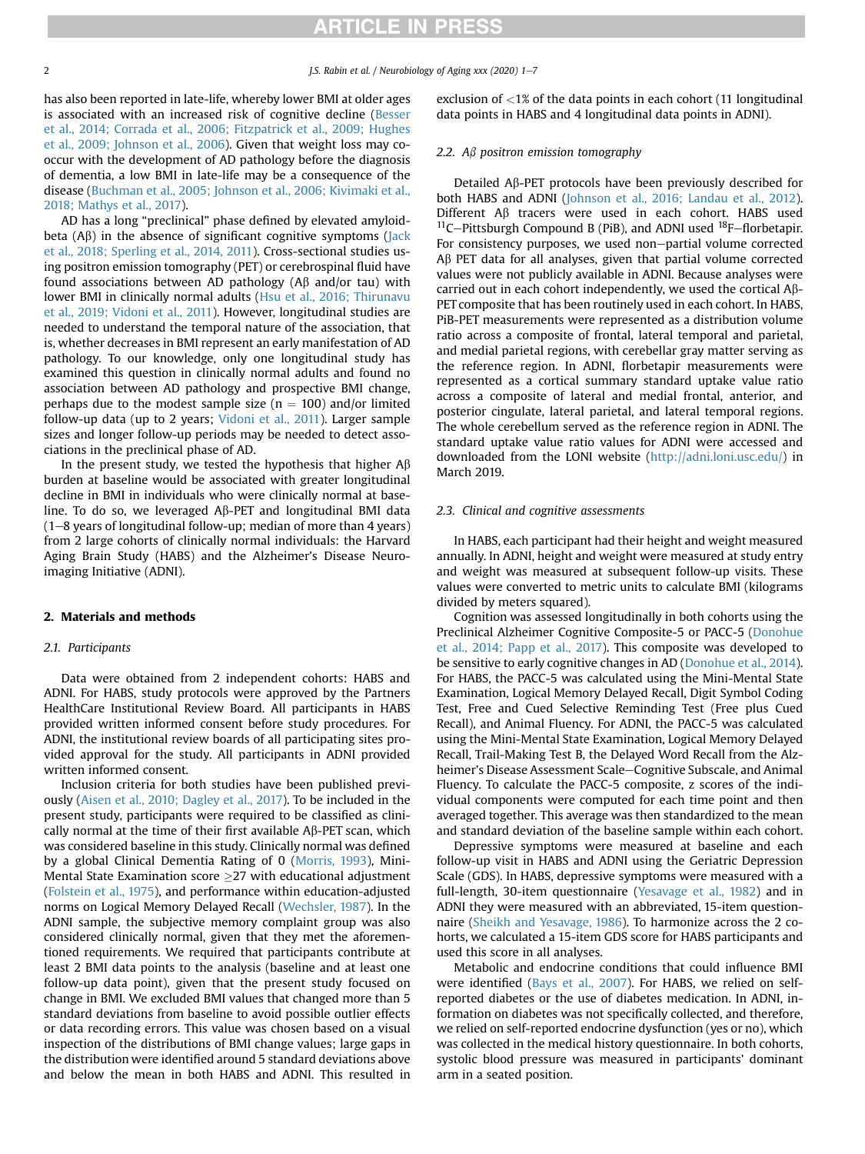has also been reported in late-life, whereby lower BMI at older ages is associated with an increased risk of cognitive decline ([Besser](#page-5-1) [et al., 2014; Corrada et al., 2006; Fitzpatrick et al., 2009; Hughes](#page-5-1) [et al., 2009; Johnson et al., 2006](#page-5-1)). Given that weight loss may cooccur with the development of AD pathology before the diagnosis of dementia, a low BMI in late-life may be a consequence of the disease ([Buchman et al., 2005; Johnson et al., 2006; Kivimaki et al.,](#page-5-2) [2018; Mathys et al., 2017](#page-5-2)).

AD has a long "preclinical" phase defined by elevated amyloidbeta  $(A\beta)$  in the absence of significant cognitive symptoms ([Jack](#page-5-3) [et al., 2018; Sperling et al., 2014, 2011\)](#page-5-3). Cross-sectional studies using positron emission tomography (PET) or cerebrospinal fluid have found associations between AD pathology ( $A\beta$  and/or tau) with lower BMI in clinically normal adults [\(Hsu et al., 2016; Thirunavu](#page-5-4) [et al., 2019; Vidoni et al., 2011\)](#page-5-4). However, longitudinal studies are needed to understand the temporal nature of the association, that is, whether decreases in BMI represent an early manifestation of AD pathology. To our knowledge, only one longitudinal study has examined this question in clinically normal adults and found no association between AD pathology and prospective BMI change, perhaps due to the modest sample size ( $n = 100$ ) and/or limited follow-up data (up to 2 years; [Vidoni et al., 2011\)](#page-6-0). Larger sample sizes and longer follow-up periods may be needed to detect associations in the preclinical phase of AD.

In the present study, we tested the hypothesis that higher  $A\beta$ burden at baseline would be associated with greater longitudinal decline in BMI in individuals who were clinically normal at baseline. To do so, we leveraged  $A\beta$ -PET and longitudinal BMI data  $(1–8$  years of longitudinal follow-up; median of more than 4 years) from 2 large cohorts of clinically normal individuals: the Harvard Aging Brain Study (HABS) and the Alzheimer's Disease Neuroimaging Initiative (ADNI).

#### 2. Materials and methods

#### 2.1. Participants

Data were obtained from 2 independent cohorts: HABS and ADNI. For HABS, study protocols were approved by the Partners HealthCare Institutional Review Board. All participants in HABS provided written informed consent before study procedures. For ADNI, the institutional review boards of all participating sites provided approval for the study. All participants in ADNI provided written informed consent.

Inclusion criteria for both studies have been published previously ([Aisen et al., 2010; Dagley et al., 2017](#page-5-5)). To be included in the present study, participants were required to be classified as clinically normal at the time of their first available  $\mathsf{A}\beta\text{-PET}$  scan, which was considered baseline in this study. Clinically normal was defined by a global Clinical Dementia Rating of 0 ([Morris, 1993\)](#page-6-1), Mini-Mental State Examination score 27 with educational adjustment [\(Folstein et al., 1975\)](#page-5-6), and performance within education-adjusted norms on Logical Memory Delayed Recall [\(Wechsler, 1987\)](#page-6-2). In the ADNI sample, the subjective memory complaint group was also considered clinically normal, given that they met the aforementioned requirements. We required that participants contribute at least 2 BMI data points to the analysis (baseline and at least one follow-up data point), given that the present study focused on change in BMI. We excluded BMI values that changed more than 5 standard deviations from baseline to avoid possible outlier effects or data recording errors. This value was chosen based on a visual inspection of the distributions of BMI change values; large gaps in the distribution were identified around 5 standard deviations above and below the mean in both HABS and ADNI. This resulted in

exclusion of <1% of the data points in each cohort (11 longitudinal data points in HABS and 4 longitudinal data points in ADNI).

#### 2.2. A $\beta$  positron emission tomography

Detailed Ab-PET protocols have been previously described for both HABS and ADNI [\(Johnson et al., 2016; Landau et al., 2012\)](#page-5-7). Different A $\beta$  tracers were used in each cohort. HABS used  $^{11}$ C-Pittsburgh Compound B (PiB), and ADNI used  $^{18}F$ -florbetapir. For consistency purposes, we used non-partial volume corrected  $\mathsf{AB}$  PET data for all analyses, given that partial volume corrected values were not publicly available in ADNI. Because analyses were carried out in each cohort independently, we used the cortical Ab-PET composite that has been routinely used in each cohort. In HABS, PiB-PET measurements were represented as a distribution volume ratio across a composite of frontal, lateral temporal and parietal, and medial parietal regions, with cerebellar gray matter serving as the reference region. In ADNI, florbetapir measurements were represented as a cortical summary standard uptake value ratio across a composite of lateral and medial frontal, anterior, and posterior cingulate, lateral parietal, and lateral temporal regions. The whole cerebellum served as the reference region in ADNI. The standard uptake value ratio values for ADNI were accessed and downloaded from the LONI website (<http://adni.loni.usc.edu/>) in March 2019.

#### 2.3. Clinical and cognitive assessments

In HABS, each participant had their height and weight measured annually. In ADNI, height and weight were measured at study entry and weight was measured at subsequent follow-up visits. These values were converted to metric units to calculate BMI (kilograms divided by meters squared).

Cognition was assessed longitudinally in both cohorts using the Preclinical Alzheimer Cognitive Composite-5 or PACC-5 [\(Donohue](#page-5-8) [et al., 2014; Papp et al., 2017](#page-5-8)). This composite was developed to be sensitive to early cognitive changes in AD [\(Donohue et al., 2014\)](#page-5-8). For HABS, the PACC-5 was calculated using the Mini-Mental State Examination, Logical Memory Delayed Recall, Digit Symbol Coding Test, Free and Cued Selective Reminding Test (Free plus Cued Recall), and Animal Fluency. For ADNI, the PACC-5 was calculated using the Mini-Mental State Examination, Logical Memory Delayed Recall, Trail-Making Test B, the Delayed Word Recall from the Alzheimer's Disease Assessment Scale-Cognitive Subscale, and Animal Fluency. To calculate the PACC-5 composite, z scores of the individual components were computed for each time point and then averaged together. This average was then standardized to the mean and standard deviation of the baseline sample within each cohort.

Depressive symptoms were measured at baseline and each follow-up visit in HABS and ADNI using the Geriatric Depression Scale (GDS). In HABS, depressive symptoms were measured with a full-length, 30-item questionnaire [\(Yesavage et al., 1982](#page-6-3)) and in ADNI they were measured with an abbreviated, 15-item questionnaire ([Sheikh and Yesavage, 1986](#page-6-4)). To harmonize across the 2 cohorts, we calculated a 15-item GDS score for HABS participants and used this score in all analyses.

Metabolic and endocrine conditions that could influence BMI were identified [\(Bays et al., 2007\)](#page-5-9). For HABS, we relied on selfreported diabetes or the use of diabetes medication. In ADNI, information on diabetes was not specifically collected, and therefore, we relied on self-reported endocrine dysfunction (yes or no), which was collected in the medical history questionnaire. In both cohorts, systolic blood pressure was measured in participants' dominant arm in a seated position.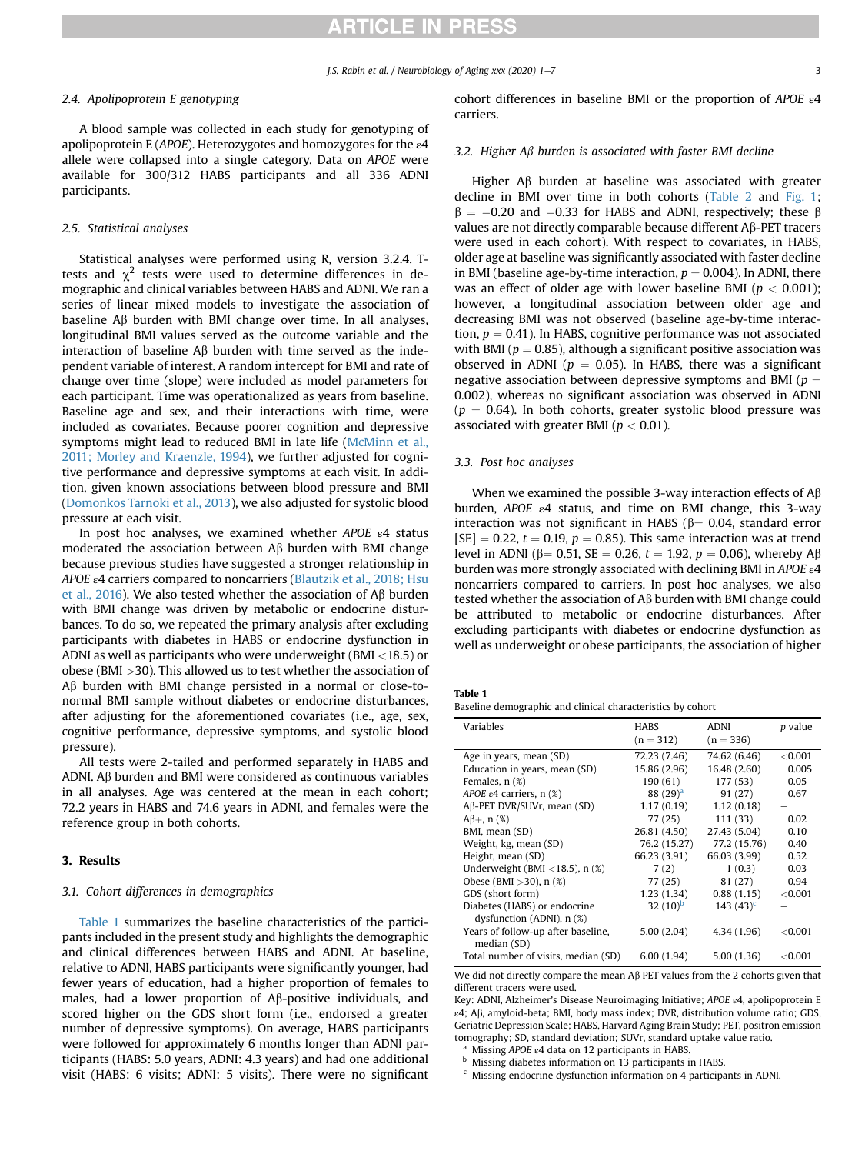#### 2.4. Apolipoprotein E genotyping

A blood sample was collected in each study for genotyping of apolipoprotein E (APOE). Heterozygotes and homozygotes for the  $\varepsilon$ 4 allele were collapsed into a single category. Data on APOE were available for 300/312 HABS participants and all 336 ADNI participants.

#### 2.5. Statistical analyses

Statistical analyses were performed using R, version 3.2.4. Ttests and  $\chi^2$  tests were used to determine differences in demographic and clinical variables between HABS and ADNI. We ran a series of linear mixed models to investigate the association of baseline  $\mathsf{A}\beta$  burden with BMI change over time. In all analyses, longitudinal BMI values served as the outcome variable and the interaction of baseline  $A\beta$  burden with time served as the independent variable of interest. A random intercept for BMI and rate of change over time (slope) were included as model parameters for each participant. Time was operationalized as years from baseline. Baseline age and sex, and their interactions with time, were included as covariates. Because poorer cognition and depressive symptoms might lead to reduced BMI in late life [\(McMinn et al.,](#page-5-10) [2011; Morley and Kraenzle, 1994](#page-5-10)), we further adjusted for cognitive performance and depressive symptoms at each visit. In addition, given known associations between blood pressure and BMI ([Domonkos Tarnoki et al., 2013\)](#page-5-11), we also adjusted for systolic blood pressure at each visit.

In post hoc analyses, we examined whether APOE  $\varepsilon$ 4 status moderated the association between  $\mathsf{AB}$  burden with BMI change because previous studies have suggested a stronger relationship in APOE ε4 carriers compared to noncarriers [\(Blautzik et al., 2018; Hsu](#page-5-12) [et al., 2016\)](#page-5-12). We also tested whether the association of A $\beta$  burden with BMI change was driven by metabolic or endocrine disturbances. To do so, we repeated the primary analysis after excluding participants with diabetes in HABS or endocrine dysfunction in ADNI as well as participants who were underweight (BMI <18.5) or obese (BMI >30). This allowed us to test whether the association of A<sub>B</sub> burden with BMI change persisted in a normal or close-tonormal BMI sample without diabetes or endocrine disturbances, after adjusting for the aforementioned covariates (i.e., age, sex, cognitive performance, depressive symptoms, and systolic blood pressure).

All tests were 2-tailed and performed separately in HABS and ADNI. A $\beta$  burden and BMI were considered as continuous variables in all analyses. Age was centered at the mean in each cohort; 72.2 years in HABS and 74.6 years in ADNI, and females were the reference group in both cohorts.

#### 3. Results

#### 3.1. Cohort differences in demographics

[Table 1](#page-2-0) summarizes the baseline characteristics of the participants included in the present study and highlights the demographic and clinical differences between HABS and ADNI. At baseline, relative to ADNI, HABS participants were significantly younger, had fewer years of education, had a higher proportion of females to males, had a lower proportion of Ab-positive individuals, and scored higher on the GDS short form (i.e., endorsed a greater number of depressive symptoms). On average, HABS participants were followed for approximately 6 months longer than ADNI participants (HABS: 5.0 years, ADNI: 4.3 years) and had one additional visit (HABS: 6 visits; ADNI: 5 visits). There were no significant cohort differences in baseline BMI or the proportion of APOE ε4 carriers.

#### 3.2. Higher  $A\beta$  burden is associated with faster BMI decline

Higher  $\mathsf{AB}$  burden at baseline was associated with greater decline in BMI over time in both cohorts [\(Table 2](#page-3-0) and [Fig. 1](#page-4-0);  $\beta = -0.20$  and  $-0.33$  for HABS and ADNI, respectively; these  $\beta$ values are not directly comparable because different Ab-PET tracers were used in each cohort). With respect to covariates, in HABS, older age at baseline was significantly associated with faster decline in BMI (baseline age-by-time interaction,  $p = 0.004$ ). In ADNI, there was an effect of older age with lower baseline BMI ( $p < 0.001$ ); however, a longitudinal association between older age and decreasing BMI was not observed (baseline age-by-time interaction,  $p = 0.41$ ). In HABS, cognitive performance was not associated with BMI ( $p = 0.85$ ), although a significant positive association was observed in ADNI ( $p = 0.05$ ). In HABS, there was a significant negative association between depressive symptoms and BMI ( $p =$ 0.002), whereas no significant association was observed in ADNI  $(p = 0.64)$ . In both cohorts, greater systolic blood pressure was associated with greater BMI ( $p < 0.01$ ).

#### 3.3. Post hoc analyses

When we examined the possible 3-way interaction effects of  $A\beta$ burden, APOE  $\varepsilon$ 4 status, and time on BMI change, this 3-way interaction was not significant in HABS ( $\beta$  = 0.04, standard error  $[SE] = 0.22$ ,  $t = 0.19$ ,  $p = 0.85$ ). This same interaction was at trend level in ADNI ( $\beta$ = 0.51, SE = 0.26, t = 1.92, p = 0.06), whereby A $\beta$ burden was more strongly associated with declining BMI in APOE  $\varepsilon$ 4 noncarriers compared to carriers. In post hoc analyses, we also tested whether the association of  $A\beta$  burden with BMI change could be attributed to metabolic or endocrine disturbances. After excluding participants with diabetes or endocrine dysfunction as well as underweight or obese participants, the association of higher

<span id="page-2-0"></span>Table 1

Baseline demographic and clinical characteristics by cohort

| Variables                                         | HABS<br>$(n = 312)$ | <b>ADNI</b><br>$(n = 336)$ | p value    |
|---------------------------------------------------|---------------------|----------------------------|------------|
| Age in years, mean (SD)                           | 72.23 (7.46)        | 74.62 (6.46)               | < 0.001    |
| Education in years, mean (SD)                     | 15.86 (2.96)        | 16.48 (2.60)               | 0.005      |
| Females, $n$ $(\%)$                               | 190 (61)            | 177 (53)                   | 0.05       |
| APOE $\varepsilon$ 4 carriers, n $(\%)$           | 88 $(29)^{a}$       | 91 (27)                    | 0.67       |
| $A\beta$ -PET DVR/SUVr, mean (SD)                 | 1.17(0.19)          | 1.12(0.18)                 |            |
| $A\beta +$ , n $(\%)$                             | 77(25)              | 111 (33)                   | 0.02       |
| BMI, mean (SD)                                    | 26.81 (4.50)        | 27.43 (5.04)               | 0.10       |
| Weight, kg, mean (SD)                             | 76.2 (15.27)        | 77.2 (15.76)               | 0.40       |
| Height, mean (SD)                                 | 66.23 (3.91)        | 66.03 (3.99)               | 0.52       |
| Underweight (BMI <18.5), $n$ (%)                  | 7(2)                | 1(0.3)                     | 0.03       |
| Obese (BMI $>30$ ), n $(\%)$                      | 77 (25)             | 81 (27)                    | 0.94       |
| GDS (short form)                                  | 1.23(1.34)          | 0.88(1.15)                 | ${<}0.001$ |
| Diabetes (HABS) or endocrine                      | 32 $(10)^b$         | $143(43)^c$                |            |
| dysfunction (ADNI), n (%)                         |                     |                            |            |
| Years of follow-up after baseline,<br>median (SD) | 5.00(2.04)          | 4.34 (1.96)                | ${<}0.001$ |
| Total number of visits, median (SD)               | 6.00(1.94)          | 5.00(1.36)                 | ${<}0.001$ |

We did not directly compare the mean A $\beta$  PET values from the 2 cohorts given that different tracers were used.

Key: ADNI, Alzheimer's Disease Neuroimaging Initiative; APOE ε4, apolipoprotein E ε4; Ab, amyloid-beta; BMI, body mass index; DVR, distribution volume ratio; GDS, Geriatric Depression Scale; HABS, Harvard Aging Brain Study; PET, positron emission tomography; SD, standard deviation; SUVr, standard uptake value ratio.

<sup>a</sup> Missing *APOE*  $\varepsilon$ 4 data on 12 participants in HABS.<br><sup>b</sup> Missing diabetes information on 13 participants in

Missing diabetes information on 13 participants in HABS.

Missing endocrine dysfunction information on 4 participants in ADNI.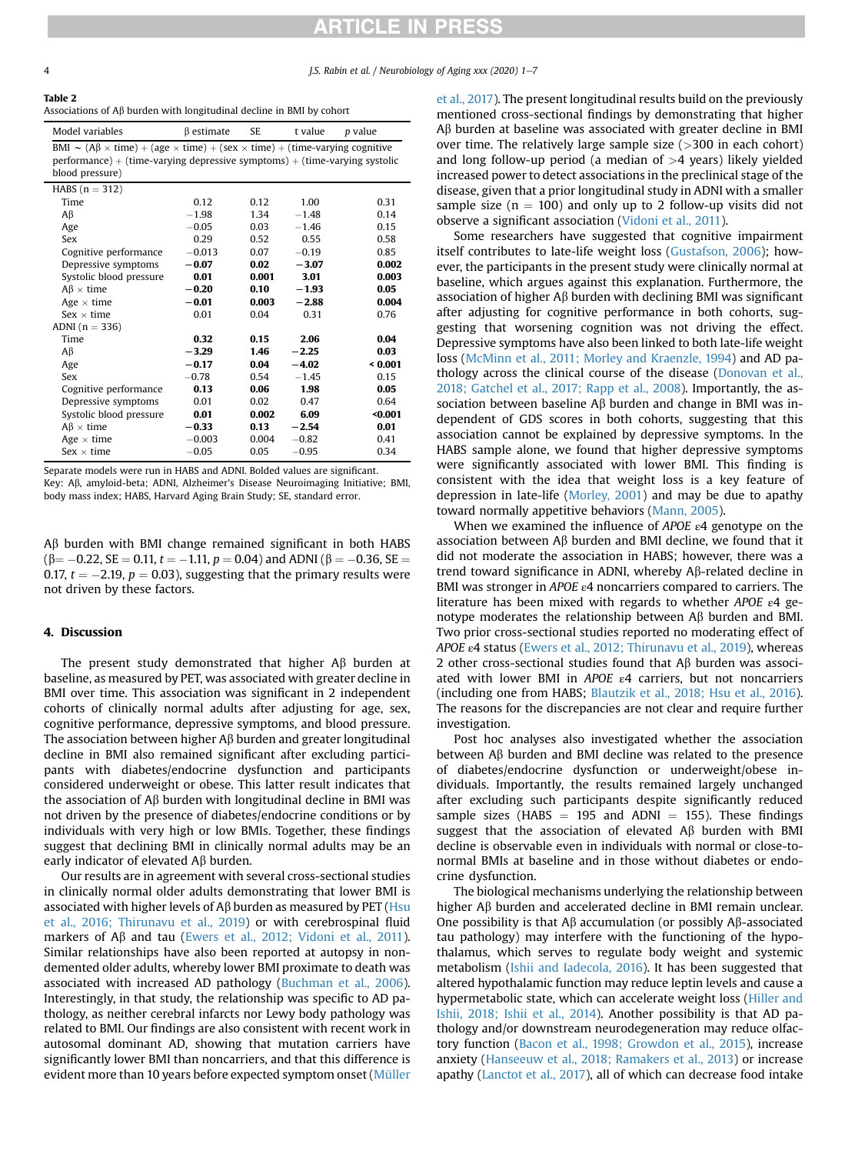J.S. Rabin et al. / Neurobiology of Aging xxx (2020) 1-7

<span id="page-3-0"></span>

|  |  |  |  | Associations of $A\beta$ burden with longitudinal decline in BMI by cohort |  |  |  |  |  |
|--|--|--|--|----------------------------------------------------------------------------|--|--|--|--|--|
|--|--|--|--|----------------------------------------------------------------------------|--|--|--|--|--|

| Model variables                                                                                                                                                                                                                    | B estimate | <b>SE</b> | t value | <i>p</i> value |  |  |
|------------------------------------------------------------------------------------------------------------------------------------------------------------------------------------------------------------------------------------|------------|-----------|---------|----------------|--|--|
| BMI $\sim (A\beta \times \text{time}) + (age \times \text{time}) + (sex \times \text{time}) + (\text{time-varying cognitive})$<br>$performance$ ) + (time-varying depressive symptoms) + (time-varying systolic<br>blood pressure) |            |           |         |                |  |  |
| HABS $(n = 312)$                                                                                                                                                                                                                   |            |           |         |                |  |  |
| Time                                                                                                                                                                                                                               | 0.12       | 0.12      | 1.00    | 0.31           |  |  |
| Aβ                                                                                                                                                                                                                                 | $-1.98$    | 1.34      | $-1.48$ | 0.14           |  |  |
| Age                                                                                                                                                                                                                                | $-0.05$    | 0.03      | $-1.46$ | 0.15           |  |  |
| Sex                                                                                                                                                                                                                                | 0.29       | 0.52      | 0.55    | 0.58           |  |  |
| Cognitive performance                                                                                                                                                                                                              | $-0.013$   | 0.07      | $-0.19$ | 0.85           |  |  |
| Depressive symptoms                                                                                                                                                                                                                | $-0.07$    | 0.02      | $-3.07$ | 0.002          |  |  |
| Systolic blood pressure                                                                                                                                                                                                            | 0.01       | 0.001     | 3.01    | 0.003          |  |  |
| $AB \times time$                                                                                                                                                                                                                   | $-0.20$    | 0.10      | $-1.93$ | 0.05           |  |  |
| Age $\times$ time                                                                                                                                                                                                                  | $-0.01$    | 0.003     | $-2.88$ | 0.004          |  |  |
| $Sex \times time$                                                                                                                                                                                                                  | 0.01       | 0.04      | 0.31    | 0.76           |  |  |
| ADNI $(n = 336)$                                                                                                                                                                                                                   |            |           |         |                |  |  |
| Time                                                                                                                                                                                                                               | 0.32       | 0.15      | 2.06    | 0.04           |  |  |
| Aβ                                                                                                                                                                                                                                 | $-3.29$    | 1.46      | $-2.25$ | 0.03           |  |  |
| Age                                                                                                                                                                                                                                | $-0.17$    | 0.04      | $-4.02$ | 0.001          |  |  |
| Sex                                                                                                                                                                                                                                | $-0.78$    | 0.54      | $-1.45$ | 0.15           |  |  |
| Cognitive performance                                                                                                                                                                                                              | 0.13       | 0.06      | 1.98    | 0.05           |  |  |
| Depressive symptoms                                                                                                                                                                                                                | 0.01       | 0.02      | 0.47    | 0.64           |  |  |
| Systolic blood pressure                                                                                                                                                                                                            | 0.01       | 0.002     | 6.09    | $0.001$        |  |  |
| $A\beta \times \text{time}$                                                                                                                                                                                                        | $-0.33$    | 0.13      | $-2.54$ | 0.01           |  |  |
| Age $\times$ time                                                                                                                                                                                                                  | $-0.003$   | 0.004     | $-0.82$ | 0.41           |  |  |
| $Sex \times time$                                                                                                                                                                                                                  | $-0.05$    | 0.05      | $-0.95$ | 0.34           |  |  |

Separate models were run in HABS and ADNI. Bolded values are significant. Key: A $\beta$ , amyloid-beta; ADNI, Alzheimer's Disease Neuroimaging Initiative; BMI,

body mass index; HABS, Harvard Aging Brain Study; SE, standard error.

 $\beta$  burden with BMI change remained significant in both HABS  $(β = -0.22, SE = 0.11, t = -1.11, p = 0.04)$  and ADNI (β = -0.36, SE = 0.17,  $t = -2.19$ ,  $p = 0.03$ ), suggesting that the primary results were not driven by these factors.

#### 4. Discussion

The present study demonstrated that higher  $\mathsf{A}\beta$  burden at baseline, as measured by PET, was associated with greater decline in BMI over time. This association was significant in 2 independent cohorts of clinically normal adults after adjusting for age, sex, cognitive performance, depressive symptoms, and blood pressure. The association between higher  $\mathsf{A}\beta$  burden and greater longitudinal decline in BMI also remained significant after excluding participants with diabetes/endocrine dysfunction and participants considered underweight or obese. This latter result indicates that the association of  $A\beta$  burden with longitudinal decline in BMI was not driven by the presence of diabetes/endocrine conditions or by individuals with very high or low BMIs. Together, these findings suggest that declining BMI in clinically normal adults may be an early indicator of elevated  $\Lambda\beta$  burden.

Our results are in agreement with several cross-sectional studies in clinically normal older adults demonstrating that lower BMI is associated with higher levels of  $A\beta$  burden as measured by PET [\(Hsu](#page-5-4) [et al., 2016; Thirunavu et al., 2019](#page-5-4)) or with cerebrospinal fluid markers of A $\beta$  and tau [\(Ewers et al., 2012; Vidoni et al., 2011\)](#page-5-13). Similar relationships have also been reported at autopsy in nondemented older adults, whereby lower BMI proximate to death was associated with increased AD pathology [\(Buchman et al., 2006\)](#page-5-14). Interestingly, in that study, the relationship was specific to AD pathology, as neither cerebral infarcts nor Lewy body pathology was related to BMI. Our findings are also consistent with recent work in autosomal dominant AD, showing that mutation carriers have significantly lower BMI than noncarriers, and that this difference is evident more than 10 years before expected symptom onset ([Müller](#page-6-5)

[et al., 2017\)](#page-6-5). The present longitudinal results build on the previously mentioned cross-sectional findings by demonstrating that higher  $A\beta$  burden at baseline was associated with greater decline in BMI over time. The relatively large sample size  $(>300$  in each cohort) and long follow-up period (a median of  $>4$  years) likely yielded increased power to detect associations in the preclinical stage of the disease, given that a prior longitudinal study in ADNI with a smaller sample size ( $n = 100$ ) and only up to 2 follow-up visits did not observe a significant association [\(Vidoni et al., 2011](#page-6-0)).

Some researchers have suggested that cognitive impairment itself contributes to late-life weight loss ([Gustafson, 2006](#page-5-15)); however, the participants in the present study were clinically normal at baseline, which argues against this explanation. Furthermore, the association of higher  $A\beta$  burden with declining BMI was significant after adjusting for cognitive performance in both cohorts, suggesting that worsening cognition was not driving the effect. Depressive symptoms have also been linked to both late-life weight loss ([McMinn et al., 2011; Morley and Kraenzle, 1994](#page-5-10)) and AD pathology across the clinical course of the disease [\(Donovan et al.,](#page-5-16) [2018; Gatchel et al., 2017; Rapp et al., 2008\)](#page-5-16). Importantly, the association between baseline  $\mathsf{AB}$  burden and change in BMI was independent of GDS scores in both cohorts, suggesting that this association cannot be explained by depressive symptoms. In the HABS sample alone, we found that higher depressive symptoms were significantly associated with lower BMI. This finding is consistent with the idea that weight loss is a key feature of depression in late-life ([Morley, 2001](#page-6-6)) and may be due to apathy toward normally appetitive behaviors ([Mann, 2005](#page-5-17)).

When we examined the influence of APOE  $\varepsilon$ 4 genotype on the association between  $\mathsf{AB}$  burden and BMI decline, we found that it did not moderate the association in HABS; however, there was a trend toward significance in ADNI, whereby  $A\beta$ -related decline in BMI was stronger in APOE  $\varepsilon$ 4 noncarriers compared to carriers. The literature has been mixed with regards to whether APOE ε4 genotype moderates the relationship between  $A\beta$  burden and BMI. Two prior cross-sectional studies reported no moderating effect of APOE ε4 status ([Ewers et al., 2012; Thirunavu et al., 2019](#page-5-13)), whereas 2 other cross-sectional studies found that  $A\beta$  burden was associated with lower BMI in APOE  $\varepsilon$ 4 carriers, but not noncarriers (including one from HABS; [Blautzik et al., 2018; Hsu et al., 2016\)](#page-5-12). The reasons for the discrepancies are not clear and require further investigation.

Post hoc analyses also investigated whether the association between  $\mathsf{A}\beta$  burden and BMI decline was related to the presence of diabetes/endocrine dysfunction or underweight/obese individuals. Importantly, the results remained largely unchanged after excluding such participants despite significantly reduced sample sizes (HABS  $=$  195 and ADNI  $=$  155). These findings suggest that the association of elevated  $\overrightarrow{AB}$  burden with BMI decline is observable even in individuals with normal or close-tonormal BMIs at baseline and in those without diabetes or endocrine dysfunction.

The biological mechanisms underlying the relationship between higher A $\beta$  burden and accelerated decline in BMI remain unclear. One possibility is that  $A\beta$  accumulation (or possibly  $A\beta$ -associated tau pathology) may interfere with the functioning of the hypothalamus, which serves to regulate body weight and systemic metabolism ([Ishii and Iadecola, 2016](#page-5-18)). It has been suggested that altered hypothalamic function may reduce leptin levels and cause a hypermetabolic state, which can accelerate weight loss ([Hiller and](#page-5-19) [Ishii, 2018; Ishii et al., 2014](#page-5-19)). Another possibility is that AD pathology and/or downstream neurodegeneration may reduce olfactory function [\(Bacon et al., 1998; Growdon et al., 2015](#page-5-20)), increase anxiety ([Hanseeuw et al., 2018; Ramakers et al., 2013\)](#page-5-21) or increase apathy ([Lanctot et al., 2017](#page-5-22)), all of which can decrease food intake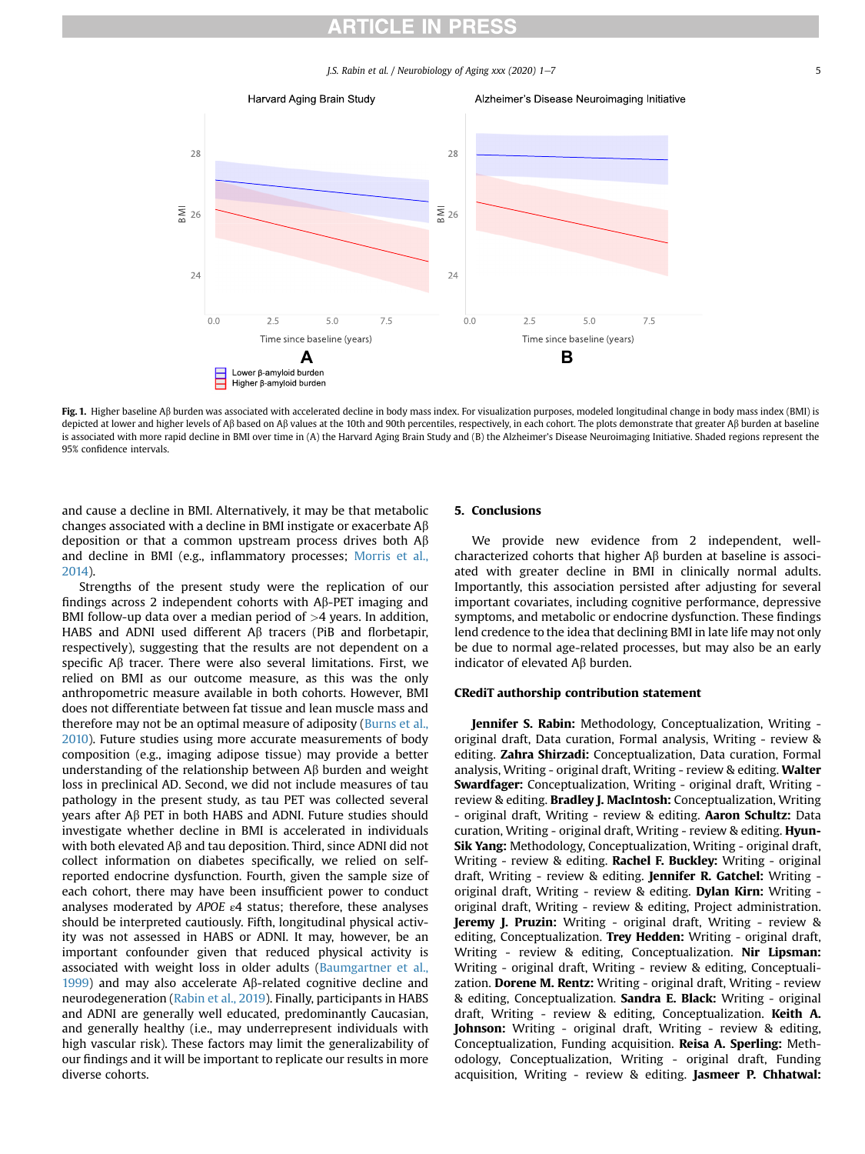J.S. Rabin et al. / Neurobiology of Aging xxx (2020) 1-7 5

<span id="page-4-0"></span>

Fig. 1. Higher baseline A $\beta$  burden was associated with accelerated decline in body mass index. For visualization purposes, modeled longitudinal change in body mass index (BMI) is depicted at lower and higher levels of AB based on AB values at the 10th and 90th percentiles, respectively, in each cohort. The plots demonstrate that greater AB burden at baseline is associated with more rapid decline in BMI over time in (A) the Harvard Aging Brain Study and (B) the Alzheimer's Disease Neuroimaging Initiative. Shaded regions represent the 95% confidence intervals.

and cause a decline in BMI. Alternatively, it may be that metabolic changes associated with a decline in BMI instigate or exacerbate  $A\beta$ deposition or that a common upstream process drives both  $A\beta$ and decline in BMI (e.g., inflammatory processes; [Morris et al.,](#page-6-7) [2014\)](#page-6-7).

Strengths of the present study were the replication of our findings across 2 independent cohorts with  $A\beta$ -PET imaging and BMI follow-up data over a median period of  $>4$  years. In addition, HABS and ADNI used different  $\mathsf{A}\beta$  tracers (PiB and florbetapir, respectively), suggesting that the results are not dependent on a specific  $A\beta$  tracer. There were also several limitations. First, we relied on BMI as our outcome measure, as this was the only anthropometric measure available in both cohorts. However, BMI does not differentiate between fat tissue and lean muscle mass and therefore may not be an optimal measure of adiposity [\(Burns et al.,](#page-5-23) [2010\)](#page-5-23). Future studies using more accurate measurements of body composition (e.g., imaging adipose tissue) may provide a better understanding of the relationship between  $\mathsf{A}\beta$  burden and weight loss in preclinical AD. Second, we did not include measures of tau pathology in the present study, as tau PET was collected several years after Ab PET in both HABS and ADNI. Future studies should investigate whether decline in BMI is accelerated in individuals with both elevated  $\mathsf{A}\beta$  and tau deposition. Third, since ADNI did not collect information on diabetes specifically, we relied on selfreported endocrine dysfunction. Fourth, given the sample size of each cohort, there may have been insufficient power to conduct analyses moderated by  $APOE$   $e4$  status; therefore, these analyses should be interpreted cautiously. Fifth, longitudinal physical activity was not assessed in HABS or ADNI. It may, however, be an important confounder given that reduced physical activity is associated with weight loss in older adults [\(Baumgartner et al.,](#page-5-24) [1999\)](#page-5-24) and may also accelerate A $\beta$ -related cognitive decline and neurodegeneration [\(Rabin et al., 2019](#page-6-8)). Finally, participants in HABS and ADNI are generally well educated, predominantly Caucasian, and generally healthy (i.e., may underrepresent individuals with high vascular risk). These factors may limit the generalizability of our findings and it will be important to replicate our results in more diverse cohorts.

#### 5. Conclusions

We provide new evidence from 2 independent, wellcharacterized cohorts that higher  $\mathsf{AB}$  burden at baseline is associated with greater decline in BMI in clinically normal adults. Importantly, this association persisted after adjusting for several important covariates, including cognitive performance, depressive symptoms, and metabolic or endocrine dysfunction. These findings lend credence to the idea that declining BMI in late life may not only be due to normal age-related processes, but may also be an early indicator of elevated  $\mathsf{A}\beta$  burden.

#### CRediT authorship contribution statement

Jennifer S. Rabin: Methodology, Conceptualization, Writing original draft, Data curation, Formal analysis, Writing - review & editing. Zahra Shirzadi: Conceptualization, Data curation, Formal analysis, Writing - original draft, Writing - review & editing. Walter Swardfager: Conceptualization, Writing - original draft, Writing review & editing. **Bradley J. MacIntosh:** Conceptualization, Writing - original draft, Writing - review & editing. Aaron Schultz: Data curation, Writing - original draft, Writing - review & editing. Hyun-Sik Yang: Methodology, Conceptualization, Writing - original draft, Writing - review & editing. Rachel F. Buckley: Writing - original draft, Writing - review & editing. Jennifer R. Gatchel: Writing original draft, Writing - review & editing. Dylan Kirn: Writing original draft, Writing - review & editing, Project administration. Jeremy J. Pruzin: Writing - original draft, Writing - review & editing, Conceptualization. Trey Hedden: Writing - original draft, Writing - review & editing, Conceptualization. Nir Lipsman: Writing - original draft, Writing - review & editing, Conceptualization. Dorene M. Rentz: Writing - original draft, Writing - review & editing, Conceptualization. Sandra E. Black: Writing - original draft, Writing - review & editing, Conceptualization. Keith A. Johnson: Writing - original draft, Writing - review & editing, Conceptualization, Funding acquisition. Reisa A. Sperling: Methodology, Conceptualization, Writing - original draft, Funding acquisition, Writing - review & editing. Jasmeer P. Chhatwal: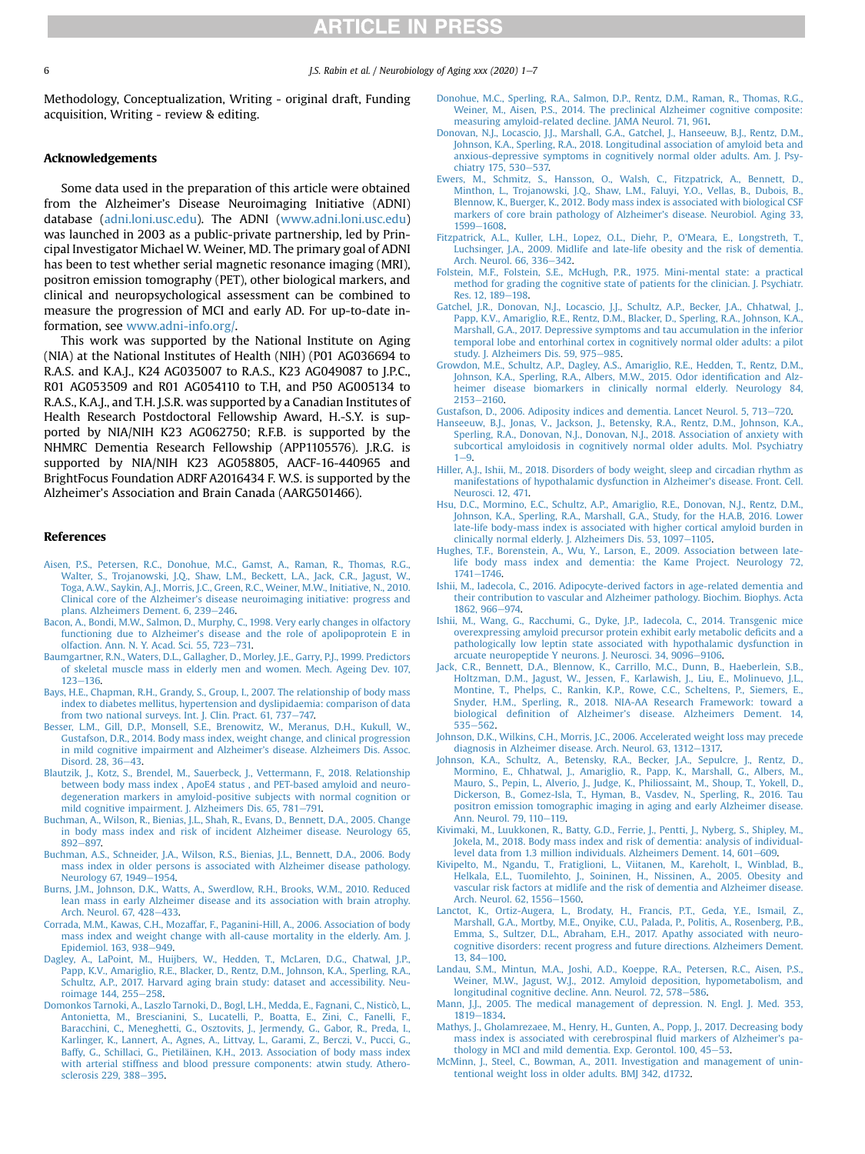Methodology, Conceptualization, Writing - original draft, Funding acquisition, Writing - review & editing.

#### Acknowledgements

Some data used in the preparation of this article were obtained from the Alzheimer's Disease Neuroimaging Initiative (ADNI) database ([adni.loni.usc.edu](http://adni.loni.usc.edu)). The ADNI ([www.adni.loni.usc.edu\)](http://www.adni.loni.usc.edu) was launched in 2003 as a public-private partnership, led by Principal Investigator Michael W. Weiner, MD. The primary goal of ADNI has been to test whether serial magnetic resonance imaging (MRI), positron emission tomography (PET), other biological markers, and clinical and neuropsychological assessment can be combined to measure the progression of MCI and early AD. For up-to-date information, see [www.adni-info.org/](http://www.adni-info.org/).

This work was supported by the National Institute on Aging (NIA) at the National Institutes of Health (NIH) (P01 AG036694 to R.A.S. and K.A.J., K24 AG035007 to R.A.S., K23 AG049087 to J.P.C., R01 AG053509 and R01 AG054110 to T.H, and P50 AG005134 to R.A.S., K.A.J., and T.H. J.S.R. was supported by a Canadian Institutes of Health Research Postdoctoral Fellowship Award, H.-S.Y. is supported by NIA/NIH K23 AG062750; R.F.B. is supported by the NHMRC Dementia Research Fellowship (APP1105576). J.R.G. is supported by NIA/NIH K23 AG058805, AACF-16-440965 and BrightFocus Foundation ADRF A2016434 F. W.S. is supported by the Alzheimer's Association and Brain Canada (AARG501466).

#### <span id="page-5-5"></span>References

- [Aisen, P.S., Petersen, R.C., Donohue, M.C., Gamst, A., Raman, R., Thomas, R.G.,](http://refhub.elsevier.com/S0197-4580(20)30072-5/sref1) [Walter, S., Trojanowski, J.Q., Shaw, L.M., Beckett, L.A., Jack, C.R., Jagust, W.,](http://refhub.elsevier.com/S0197-4580(20)30072-5/sref1) [Toga, A.W., Saykin, A.J., Morris, J.C., Green, R.C., Weiner, M.W., Initiative, N., 2010.](http://refhub.elsevier.com/S0197-4580(20)30072-5/sref1) Clinical core of the Alzheimer'[s disease neuroimaging initiative: progress and](http://refhub.elsevier.com/S0197-4580(20)30072-5/sref1) [plans. Alzheimers Dement. 6, 239](http://refhub.elsevier.com/S0197-4580(20)30072-5/sref1)-[246](http://refhub.elsevier.com/S0197-4580(20)30072-5/sref1).
- <span id="page-5-24"></span><span id="page-5-20"></span>[Bacon, A., Bondi, M.W., Salmon, D., Murphy, C., 1998. Very early changes in olfactory](http://refhub.elsevier.com/S0197-4580(20)30072-5/sref2) functioning due to Alzheimer'[s disease and the role of apolipoprotein E in](http://refhub.elsevier.com/S0197-4580(20)30072-5/sref2) [olfaction. Ann. N. Y. Acad. Sci. 55, 723](http://refhub.elsevier.com/S0197-4580(20)30072-5/sref2)-[731.](http://refhub.elsevier.com/S0197-4580(20)30072-5/sref2)
- <span id="page-5-9"></span>[Baumgartner, R.N., Waters, D.L., Gallagher, D., Morley, J.E., Garry, P.J., 1999. Predictors](http://refhub.elsevier.com/S0197-4580(20)30072-5/sref3) skeletal muscle mass in elderly men and women. Mech. Ageing Dev. 107,  $123 - 136.$  $123 - 136.$  $123 - 136.$
- <span id="page-5-1"></span>[Bays, H.E., Chapman, R.H., Grandy, S., Group, I., 2007. The relationship of body mass](http://refhub.elsevier.com/S0197-4580(20)30072-5/sref4) [index to diabetes mellitus, hypertension and dyslipidaemia: comparison of data](http://refhub.elsevier.com/S0197-4580(20)30072-5/sref4) [from two national surveys. Int. J. Clin. Pract. 61, 737](http://refhub.elsevier.com/S0197-4580(20)30072-5/sref4)-[747.](http://refhub.elsevier.com/S0197-4580(20)30072-5/sref4)
- <span id="page-5-12"></span>[Besser, L.M., Gill, D.P., Monsell, S.E., Brenowitz, W., Meranus, D.H., Kukull, W.,](http://refhub.elsevier.com/S0197-4580(20)30072-5/sref5) [Gustafson, D.R., 2014. Body mass index, weight change, and clinical progression](http://refhub.elsevier.com/S0197-4580(20)30072-5/sref5) [in mild cognitive impairment and Alzheimer](http://refhub.elsevier.com/S0197-4580(20)30072-5/sref5)'s disease. Alzheimers Dis. Assoc. [Disord. 28, 36](http://refhub.elsevier.com/S0197-4580(20)30072-5/sref5)-[43](http://refhub.elsevier.com/S0197-4580(20)30072-5/sref5).
- <span id="page-5-2"></span>[Blautzik, J., Kotz, S., Brendel, M., Sauerbeck, J., Vettermann, F., 2018. Relationship](http://refhub.elsevier.com/S0197-4580(20)30072-5/sref6) [between body mass index , ApoE4 status , and PET-based amyloid and neuro-](http://refhub.elsevier.com/S0197-4580(20)30072-5/sref6)[degeneration markers in amyloid-positive subjects with normal cognition or](http://refhub.elsevier.com/S0197-4580(20)30072-5/sref6) [mild cognitive impairment. J. Alzheimers Dis. 65, 781](http://refhub.elsevier.com/S0197-4580(20)30072-5/sref6)-[791.](http://refhub.elsevier.com/S0197-4580(20)30072-5/sref6)
- <span id="page-5-14"></span>[Buchman, A., Wilson, R., Bienias, J.L., Shah, R., Evans, D., Bennett, D.A., 2005. Change](http://refhub.elsevier.com/S0197-4580(20)30072-5/sref7) [in body mass index and risk of incident Alzheimer disease. Neurology 65,](http://refhub.elsevier.com/S0197-4580(20)30072-5/sref7) [892](http://refhub.elsevier.com/S0197-4580(20)30072-5/sref7)-[897.](http://refhub.elsevier.com/S0197-4580(20)30072-5/sref7)
- <span id="page-5-23"></span>[Buchman, A.S., Schneider, J.A., Wilson, R.S., Bienias, J.L., Bennett, D.A., 2006. Body](http://refhub.elsevier.com/S0197-4580(20)30072-5/sref8) [mass index in older persons is associated with Alzheimer disease pathology.](http://refhub.elsevier.com/S0197-4580(20)30072-5/sref8) [Neurology 67, 1949](http://refhub.elsevier.com/S0197-4580(20)30072-5/sref8)-[1954](http://refhub.elsevier.com/S0197-4580(20)30072-5/sref8).
- [Burns, J.M., Johnson, D.K., Watts, A., Swerdlow, R.H., Brooks, W.M., 2010. Reduced](http://refhub.elsevier.com/S0197-4580(20)30072-5/sref9) [lean mass in early Alzheimer disease and its association with brain atrophy.](http://refhub.elsevier.com/S0197-4580(20)30072-5/sref9) [Arch. Neurol. 67, 428](http://refhub.elsevier.com/S0197-4580(20)30072-5/sref9)-[433](http://refhub.elsevier.com/S0197-4580(20)30072-5/sref9).
- [Corrada, M.M., Kawas, C.H., Mozaffar, F., Paganini-Hill, A., 2006. Association of body](http://refhub.elsevier.com/S0197-4580(20)30072-5/sref10) [mass index and weight change with all-cause mortality in the elderly. Am. J.](http://refhub.elsevier.com/S0197-4580(20)30072-5/sref10) [Epidemiol. 163, 938](http://refhub.elsevier.com/S0197-4580(20)30072-5/sref10)-[949](http://refhub.elsevier.com/S0197-4580(20)30072-5/sref10).
- <span id="page-5-11"></span>[Dagley, A., LaPoint, M., Huijbers, W., Hedden, T., McLaren, D.G., Chatwal, J.P.,](http://refhub.elsevier.com/S0197-4580(20)30072-5/sref11) [Papp, K.V., Amariglio, R.E., Blacker, D., Rentz, D.M., Johnson, K.A., Sperling, R.A.,](http://refhub.elsevier.com/S0197-4580(20)30072-5/sref11) [Schultz, A.P., 2017. Harvard aging brain study: dataset and accessibility. Neu](http://refhub.elsevier.com/S0197-4580(20)30072-5/sref11)[roimage 144, 255](http://refhub.elsevier.com/S0197-4580(20)30072-5/sref11)-[258.](http://refhub.elsevier.com/S0197-4580(20)30072-5/sref11)
- [Domonkos Tarnoki, A., Laszlo Tarnoki, D., Bogl, L.H., Medda, E., Fagnani, C., Nisticò, L.,](http://refhub.elsevier.com/S0197-4580(20)30072-5/sref12) [Antonietta, M., Brescianini, S., Lucatelli, P., Boatta, E., Zini, C., Fanelli, F.,](http://refhub.elsevier.com/S0197-4580(20)30072-5/sref12) [Baracchini, C., Meneghetti, G., Osztovits, J., Jermendy, G., Gabor, R., Preda, I.,](http://refhub.elsevier.com/S0197-4580(20)30072-5/sref12) [Karlinger, K., Lannert, A., Agnes, A., Littvay, L., Garami, Z., Berczi, V., Pucci, G.,](http://refhub.elsevier.com/S0197-4580(20)30072-5/sref12) [Baffy, G., Schillaci, G., Pietiläinen, K.H., 2013. Association of body mass index](http://refhub.elsevier.com/S0197-4580(20)30072-5/sref12) [with arterial stiffness and blood pressure components: atwin study. Athero](http://refhub.elsevier.com/S0197-4580(20)30072-5/sref12)[sclerosis 229, 388](http://refhub.elsevier.com/S0197-4580(20)30072-5/sref12)-[395.](http://refhub.elsevier.com/S0197-4580(20)30072-5/sref12)
- <span id="page-5-8"></span>[Donohue, M.C., Sperling, R.A., Salmon, D.P., Rentz, D.M., Raman, R., Thomas, R.G.,](http://refhub.elsevier.com/S0197-4580(20)30072-5/sref13) [Weiner, M., Aisen, P.S., 2014. The preclinical Alzheimer cognitive composite:](http://refhub.elsevier.com/S0197-4580(20)30072-5/sref13) [measuring amyloid-related decline. JAMA Neurol. 71, 961.](http://refhub.elsevier.com/S0197-4580(20)30072-5/sref13)
- <span id="page-5-16"></span>[Donovan, N.J., Locascio, J.J., Marshall, G.A., Gatchel, J., Hanseeuw, B.J., Rentz, D.M.,](http://refhub.elsevier.com/S0197-4580(20)30072-5/sref14) [Johnson, K.A., Sperling, R.A., 2018. Longitudinal association of amyloid beta and](http://refhub.elsevier.com/S0197-4580(20)30072-5/sref14) [anxious-depressive symptoms in cognitively normal older adults. Am. J. Psy](http://refhub.elsevier.com/S0197-4580(20)30072-5/sref14)[chiatry 175, 530](http://refhub.elsevier.com/S0197-4580(20)30072-5/sref14)-[537.](http://refhub.elsevier.com/S0197-4580(20)30072-5/sref14)
- <span id="page-5-13"></span>[Ewers, M., Schmitz, S., Hansson, O., Walsh, C., Fitzpatrick, A., Bennett, D.,](http://refhub.elsevier.com/S0197-4580(20)30072-5/sref15) [Minthon, L., Trojanowski, J.Q., Shaw, L.M., Faluyi, Y.O., Vellas, B., Dubois, B.,](http://refhub.elsevier.com/S0197-4580(20)30072-5/sref15) [Blennow, K., Buerger, K., 2012. Body mass index is associated with biological CSF](http://refhub.elsevier.com/S0197-4580(20)30072-5/sref15) [markers of core brain pathology of Alzheimer](http://refhub.elsevier.com/S0197-4580(20)30072-5/sref15)'s disease. Neurobiol. Aging 33, [1599](http://refhub.elsevier.com/S0197-4580(20)30072-5/sref15)-[1608](http://refhub.elsevier.com/S0197-4580(20)30072-5/sref15).
- <span id="page-5-0"></span>[Fitzpatrick, A.L., Kuller, L.H., Lopez, O.L., Diehr, P., O](http://refhub.elsevier.com/S0197-4580(20)30072-5/sref16)'Meara, E., Longstreth, T., [Luchsinger, J.A., 2009. Midlife and late-life obesity and the risk of dementia.](http://refhub.elsevier.com/S0197-4580(20)30072-5/sref16) [Arch. Neurol. 66, 336](http://refhub.elsevier.com/S0197-4580(20)30072-5/sref16)-[342.](http://refhub.elsevier.com/S0197-4580(20)30072-5/sref16)
- <span id="page-5-6"></span>[Folstein, M.F., Folstein, S.E., McHugh, P.R., 1975. Mini-mental state: a practical](http://refhub.elsevier.com/S0197-4580(20)30072-5/sref17) [method for grading the cognitive state of patients for the clinician. J. Psychiatr.](http://refhub.elsevier.com/S0197-4580(20)30072-5/sref17) [Res. 12, 189](http://refhub.elsevier.com/S0197-4580(20)30072-5/sref17)-[198](http://refhub.elsevier.com/S0197-4580(20)30072-5/sref17).
- [Gatchel, J.R., Donovan, N.J., Locascio, J.J., Schultz, A.P., Becker, J.A., Chhatwal, J.,](http://refhub.elsevier.com/S0197-4580(20)30072-5/sref18) [Papp, K.V., Amariglio, R.E., Rentz, D.M., Blacker, D., Sperling, R.A., Johnson, K.A.,](http://refhub.elsevier.com/S0197-4580(20)30072-5/sref18) [Marshall, G.A., 2017. Depressive symptoms and tau accumulation in the inferior](http://refhub.elsevier.com/S0197-4580(20)30072-5/sref18) [temporal lobe and entorhinal cortex in cognitively normal older adults: a pilot](http://refhub.elsevier.com/S0197-4580(20)30072-5/sref18) [study. J. Alzheimers Dis. 59, 975](http://refhub.elsevier.com/S0197-4580(20)30072-5/sref18)-[985](http://refhub.elsevier.com/S0197-4580(20)30072-5/sref18).
- [Growdon, M.E., Schultz, A.P., Dagley, A.S., Amariglio, R.E., Hedden, T., Rentz, D.M.,](http://refhub.elsevier.com/S0197-4580(20)30072-5/sref19) [Johnson, K.A., Sperling, R.A., Albers, M.W., 2015. Odor identi](http://refhub.elsevier.com/S0197-4580(20)30072-5/sref19)fication and Alz[heimer disease biomarkers in clinically normal elderly. Neurology 84,](http://refhub.elsevier.com/S0197-4580(20)30072-5/sref19) [2153](http://refhub.elsevier.com/S0197-4580(20)30072-5/sref19)-[2160.](http://refhub.elsevier.com/S0197-4580(20)30072-5/sref19)
- <span id="page-5-15"></span>[Gustafson, D., 2006. Adiposity indices and dementia. Lancet Neurol. 5, 713](http://refhub.elsevier.com/S0197-4580(20)30072-5/sref20)-[720](http://refhub.elsevier.com/S0197-4580(20)30072-5/sref20).
- <span id="page-5-21"></span>[Hanseeuw, B.J., Jonas, V., Jackson, J., Betensky, R.A., Rentz, D.M., Johnson, K.A.,](http://refhub.elsevier.com/S0197-4580(20)30072-5/sref21) [Sperling, R.A., Donovan, N.J., Donovan, N.J., 2018. Association of anxiety with](http://refhub.elsevier.com/S0197-4580(20)30072-5/sref21) [subcortical amyloidosis in cognitively normal older adults. Mol. Psychiatry](http://refhub.elsevier.com/S0197-4580(20)30072-5/sref21)  $1 - 9.$  $1 - 9.$  $1 - 9.$
- <span id="page-5-19"></span>[Hiller, A.J., Ishii, M., 2018. Disorders of body weight, sleep and circadian rhythm as](http://refhub.elsevier.com/S0197-4580(20)30072-5/sref22) [manifestations of hypothalamic dysfunction in Alzheimer](http://refhub.elsevier.com/S0197-4580(20)30072-5/sref22)'s disease. Front. Cell. [Neurosci. 12, 471.](http://refhub.elsevier.com/S0197-4580(20)30072-5/sref22)
- <span id="page-5-4"></span>[Hsu, D.C., Mormino, E.C., Schultz, A.P., Amariglio, R.E., Donovan, N.J., Rentz, D.M.,](http://refhub.elsevier.com/S0197-4580(20)30072-5/sref23) [Johnson, K.A., Sperling, R.A., Marshall, G.A., Study, for the H.A.B, 2016. Lower](http://refhub.elsevier.com/S0197-4580(20)30072-5/sref23) [late-life body-mass index is associated with higher cortical amyloid burden in](http://refhub.elsevier.com/S0197-4580(20)30072-5/sref23)
- [clinically normal elderly. J. Alzheimers Dis. 53, 1097](http://refhub.elsevier.com/S0197-4580(20)30072-5/sref23)–[1105.](http://refhub.elsevier.com/S0197-4580(20)30072-5/sref23)<br>[Hughes, T.F., Borenstein, A., Wu, Y., Larson, E., 2009. Association between late](http://refhub.elsevier.com/S0197-4580(20)30072-5/sref24)[life body mass index and dementia: the Kame Project. Neurology 72,](http://refhub.elsevier.com/S0197-4580(20)30072-5/sref24)  $1741 - 1746$  $1741 - 1746$  $1741 - 1746$ .
- <span id="page-5-18"></span>[Ishii, M., Iadecola, C., 2016. Adipocyte-derived factors in age-related dementia and](http://refhub.elsevier.com/S0197-4580(20)30072-5/sref25) [their contribution to vascular and Alzheimer pathology. Biochim. Biophys. Acta](http://refhub.elsevier.com/S0197-4580(20)30072-5/sref25) [1862, 966](http://refhub.elsevier.com/S0197-4580(20)30072-5/sref25)-[974](http://refhub.elsevier.com/S0197-4580(20)30072-5/sref25).
- [Ishii, M., Wang, G., Racchumi, G., Dyke, J.P., Iadecola, C., 2014. Transgenic mice](http://refhub.elsevier.com/S0197-4580(20)30072-5/sref26) [overexpressing amyloid precursor protein exhibit early metabolic de](http://refhub.elsevier.com/S0197-4580(20)30072-5/sref26)ficits and a [pathologically low leptin state associated with hypothalamic dysfunction in](http://refhub.elsevier.com/S0197-4580(20)30072-5/sref26) [arcuate neuropeptide Y neurons. J. Neurosci. 34, 9096](http://refhub.elsevier.com/S0197-4580(20)30072-5/sref26)-[9106.](http://refhub.elsevier.com/S0197-4580(20)30072-5/sref26)
- <span id="page-5-3"></span>[Jack, C.R., Bennett, D.A., Blennow, K., Carrillo, M.C., Dunn, B., Haeberlein, S.B.,](http://refhub.elsevier.com/S0197-4580(20)30072-5/sref27) [Holtzman, D.M., Jagust, W., Jessen, F., Karlawish, J., Liu, E., Molinuevo, J.L.,](http://refhub.elsevier.com/S0197-4580(20)30072-5/sref27) [Montine, T., Phelps, C., Rankin, K.P., Rowe, C.C., Scheltens, P., Siemers, E.,](http://refhub.elsevier.com/S0197-4580(20)30072-5/sref27) [Snyder, H.M., Sperling, R., 2018. NIA-AA Research Framework: toward a](http://refhub.elsevier.com/S0197-4580(20)30072-5/sref27) biological definition of Alzheimer'[s disease. Alzheimers Dement. 14,](http://refhub.elsevier.com/S0197-4580(20)30072-5/sref27)  $535 - 562$  $535 - 562$ .
- [Johnson, D.K., Wilkins, C.H., Morris, J.C., 2006. Accelerated weight loss may precede](http://refhub.elsevier.com/S0197-4580(20)30072-5/sref28) [diagnosis in Alzheimer disease. Arch. Neurol. 63, 1312](http://refhub.elsevier.com/S0197-4580(20)30072-5/sref28)-[1317.](http://refhub.elsevier.com/S0197-4580(20)30072-5/sref28)
- <span id="page-5-7"></span>[Johnson, K.A., Schultz, A., Betensky, R.A., Becker, J.A., Sepulcre, J., Rentz, D.,](http://refhub.elsevier.com/S0197-4580(20)30072-5/sref29) [Mormino, E., Chhatwal, J., Amariglio, R., Papp, K., Marshall, G., Albers, M.,](http://refhub.elsevier.com/S0197-4580(20)30072-5/sref29) [Mauro, S., Pepin, L., Alverio, J., Judge, K., Philiossaint, M., Shoup, T., Yokell, D.,](http://refhub.elsevier.com/S0197-4580(20)30072-5/sref29) [Dickerson, B., Gomez-Isla, T., Hyman, B., Vasdev, N., Sperling, R., 2016. Tau](http://refhub.elsevier.com/S0197-4580(20)30072-5/sref29) [positron emission tomographic imaging in aging and early Alzheimer disease.](http://refhub.elsevier.com/S0197-4580(20)30072-5/sref29) [Ann. Neurol. 79, 110](http://refhub.elsevier.com/S0197-4580(20)30072-5/sref29)-[119](http://refhub.elsevier.com/S0197-4580(20)30072-5/sref29).
- [Kivimaki, M., Luukkonen, R., Batty, G.D., Ferrie, J., Pentti, J., Nyberg, S., Shipley, M.,](http://refhub.elsevier.com/S0197-4580(20)30072-5/sref30) [Jokela, M., 2018. Body mass index and risk of dementia: analysis of individual](http://refhub.elsevier.com/S0197-4580(20)30072-5/sref30)[level data from 1.3 million individuals. Alzheimers Dement. 14, 601](http://refhub.elsevier.com/S0197-4580(20)30072-5/sref30)-[609.](http://refhub.elsevier.com/S0197-4580(20)30072-5/sref30)
- [Kivipelto, M., Ngandu, T., Fratiglioni, L., Viitanen, M., Kareholt, I., Winblad, B.,](http://refhub.elsevier.com/S0197-4580(20)30072-5/sref31) [Helkala, E.L., Tuomilehto, J., Soininen, H., Nissinen, A., 2005. Obesity and](http://refhub.elsevier.com/S0197-4580(20)30072-5/sref31) [vascular risk factors at midlife and the risk of dementia and Alzheimer disease.](http://refhub.elsevier.com/S0197-4580(20)30072-5/sref31) [Arch. Neurol. 62, 1556](http://refhub.elsevier.com/S0197-4580(20)30072-5/sref31)-[1560.](http://refhub.elsevier.com/S0197-4580(20)30072-5/sref31)
- <span id="page-5-22"></span>[Lanctot, K., Ortiz-Augera, L., Brodaty, H., Francis, P.T., Geda, Y.E., Ismail, Z.,](http://refhub.elsevier.com/S0197-4580(20)30072-5/sref32) [Marshall, G.A., Mortby, M.E., Onyike, C.U., Palada, P., Politis, A., Rosenberg, P.B.,](http://refhub.elsevier.com/S0197-4580(20)30072-5/sref32) [Emma, S., Sultzer, D.L., Abraham, E.H., 2017. Apathy associated with neuro](http://refhub.elsevier.com/S0197-4580(20)30072-5/sref32)[cognitive disorders: recent progress and future directions. Alzheimers Dement.](http://refhub.elsevier.com/S0197-4580(20)30072-5/sref32)  $13, 84 - 100.$  $13, 84 - 100.$  $13, 84 - 100.$  $13, 84 - 100.$
- [Landau, S.M., Mintun, M.A., Joshi, A.D., Koeppe, R.A., Petersen, R.C., Aisen, P.S.,](http://refhub.elsevier.com/S0197-4580(20)30072-5/sref33) [Weiner, M.W., Jagust, W.J., 2012. Amyloid deposition, hypometabolism, and](http://refhub.elsevier.com/S0197-4580(20)30072-5/sref33) [longitudinal cognitive decline. Ann. Neurol. 72, 578](http://refhub.elsevier.com/S0197-4580(20)30072-5/sref33)-[586](http://refhub.elsevier.com/S0197-4580(20)30072-5/sref33).
- <span id="page-5-17"></span>[Mann, J.J., 2005. The medical management of depression. N. Engl. J. Med. 353,](http://refhub.elsevier.com/S0197-4580(20)30072-5/sref34) [1819](http://refhub.elsevier.com/S0197-4580(20)30072-5/sref34)-[1834](http://refhub.elsevier.com/S0197-4580(20)30072-5/sref34).
- [Mathys, J., Gholamrezaee, M., Henry, H., Gunten, A., Popp, J., 2017. Decreasing body](http://refhub.elsevier.com/S0197-4580(20)30072-5/sref35) [mass index is associated with cerebrospinal](http://refhub.elsevier.com/S0197-4580(20)30072-5/sref35) fluid markers of Alzheimer's pathology in MCI and mild dementia. Exp. Gerontol.  $100, 45-53$  $100, 45-53$ .
- <span id="page-5-10"></span>[McMinn, J., Steel, C., Bowman, A., 2011. Investigation and management of unin](http://refhub.elsevier.com/S0197-4580(20)30072-5/sref36)[tentional weight loss in older adults. BMJ 342, d1732](http://refhub.elsevier.com/S0197-4580(20)30072-5/sref36).